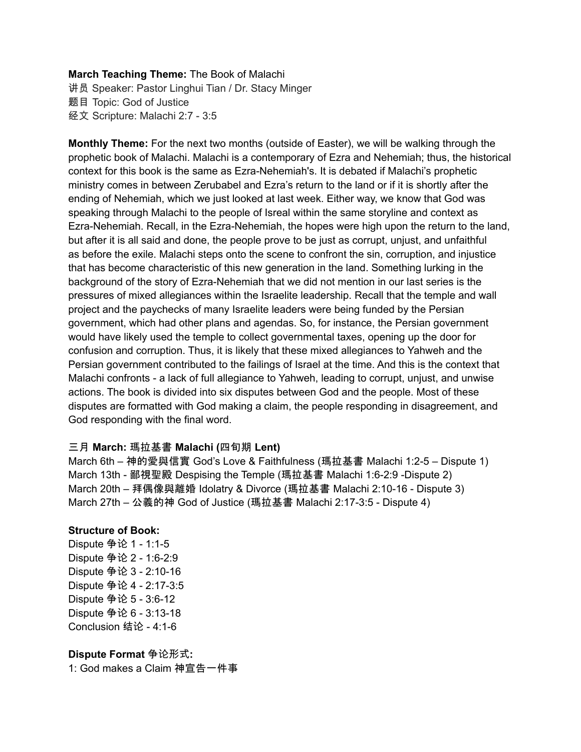### **March Teaching Theme:** The Book of Malachi

讲员 Speaker: Pastor Linghui Tian / Dr. Stacy Minger 题目 Topic: God of Justice 经文 Scripture: Malachi 2:7 - 3:5

**Monthly Theme:** For the next two months (outside of Easter), we will be walking through the prophetic book of Malachi. Malachi is a contemporary of Ezra and Nehemiah; thus, the historical context for this book is the same as Ezra-Nehemiah's. It is debated if Malachi's prophetic ministry comes in between Zerubabel and Ezra's return to the land or if it is shortly after the ending of Nehemiah, which we just looked at last week. Either way, we know that God was speaking through Malachi to the people of Isreal within the same storyline and context as Ezra-Nehemiah. Recall, in the Ezra-Nehemiah, the hopes were high upon the return to the land, but after it is all said and done, the people prove to be just as corrupt, unjust, and unfaithful as before the exile. Malachi steps onto the scene to confront the sin, corruption, and injustice that has become characteristic of this new generation in the land. Something lurking in the background of the story of Ezra-Nehemiah that we did not mention in our last series is the pressures of mixed allegiances within the Israelite leadership. Recall that the temple and wall project and the paychecks of many Israelite leaders were being funded by the Persian government, which had other plans and agendas. So, for instance, the Persian government would have likely used the temple to collect governmental taxes, opening up the door for confusion and corruption. Thus, it is likely that these mixed allegiances to Yahweh and the Persian government contributed to the failings of Israel at the time. And this is the context that Malachi confronts - a lack of full allegiance to Yahweh, leading to corrupt, unjust, and unwise actions. The book is divided into six disputes between God and the people. Most of these disputes are formatted with God making a claim, the people responding in disagreement, and God responding with the final word.

### 三月 **March:** 瑪拉基書 **Malachi (**四旬期 **Lent)**

March 6th – 神的愛與信實 God's Love & Faithfulness (瑪拉基書 Malachi 1:2-5 – Dispute 1) March 13th - 鄙視聖殿 Despising the Temple (瑪拉基書 Malachi 1:6-2:9 -Dispute 2) March 20th – 拜偶像與離婚 Idolatry & Divorce (瑪拉基書 Malachi 2:10-16 - Dispute 3) March 27th – 公義的神 God of Justice (瑪拉基書 Malachi 2:17-3:5 - Dispute 4)

### **Structure of Book:**

Dispute 争论 1 - 1:1-5 Dispute 争论 2 - 1:6-2:9 Dispute 争论 3 - 2:10-16 Dispute 争论 4 - 2:17-3:5 Dispute 争论 5 - 3:6-12 Dispute 争论 6 - 3:13-18 Conclusion 结论 - 4:1-6

**Dispute Format** 争论形式**:** 1: God makes a Claim 神宣告一件事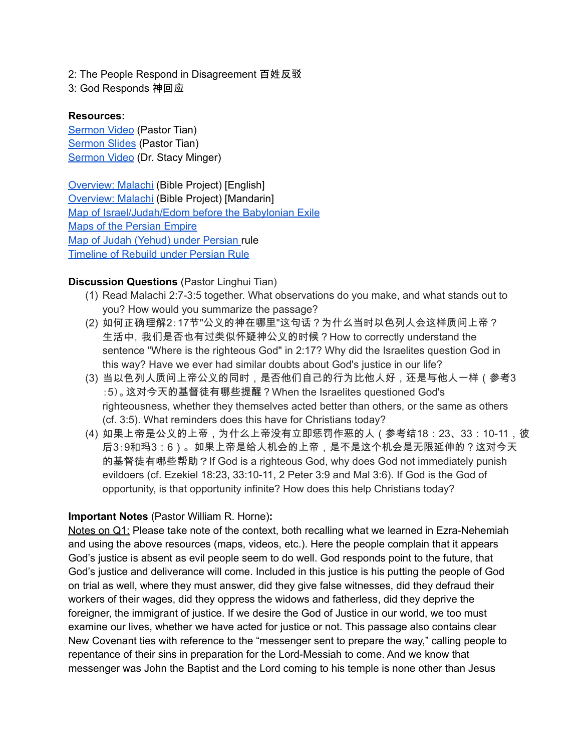2: The People Respond in Disagreement 百姓反驳

3: God Responds 神回应

## **Resources:**

[Sermon](https://youtu.be/iyhHjcp8dCc?t=932) Video (Pastor Tian) [Sermon](https://docs.google.com/presentation/d/1Z42SRfPE4y7X35krGxPyyWJIcGQjSowz/edit?usp=sharing&ouid=111022305003760555164&rtpof=true&sd=true) Slides (Pastor Tian) [Sermon](https://www.youtube.com/watch?v=975O71BWhnE) Video (Dr. Stacy Minger)

[Overview:](https://bibleproject.com/explore/video/malachi/) Malachi (Bible Project) [English] [Overview:](https://www.youtube.com/watch?v=8T57vKj-Ix8&list=PLE-R0uydm0uN0xKD3tw0aheiQojlf1JB1&index=29) Malachi (Bible Project) [Mandarin] Map of [Israel/Judah/Edom](https://docs.google.com/presentation/d/1tFqR--i8vR65UNcydtMDcN0P1IocObGP6zsQPzodJvg/edit?usp=sharing) before the Babylonian Exile Maps of the [Persian](https://docs.google.com/presentation/d/1etJFccQZX3MryDbRrS1s5n6bjpYFgUOYwQ4VQG_JuV4/edit?usp=sharing) Empire Map of Judah [\(Yehud\)](https://docs.google.com/presentation/d/1B-jPxAPFXvR-dkqLLivyckb0uZtp_PYXSNJsG_iepRA/edit?usp=sharing) under Persian rule [Timeline](https://docs.google.com/presentation/d/1pivSiquO322iIeBUBqD0yGXiqO8ft5FlPvqLRck4eek/edit?usp=sharing) of Rebuild under Persian Rule

# **Discussion Questions** (Pastor Linghui Tian)

- (1) Read Malachi 2:7-3:5 together. What observations do you make, and what stands out to you? How would you summarize the passage?
- (2) 如何正确理解2:17节"公义的神在哪里"这句话?为什么当时以色列人会这样质问上帝? 生活中, 我们是否也有过类似怀疑神公义的时候?How to correctly understand the sentence "Where is the righteous God" in 2:17? Why did the Israelites question God in this way? Have we ever had similar doubts about God's justice in our life?
- (3) 当以色列人质问上帝公义的同时,是否他们自己的行为比他人好,还是与他人一样(参考3 :5)。这对今天的基督徒有哪些提醒?When the Israelites questioned God's righteousness, whether they themselves acted better than others, or the same as others (cf. 3:5). What reminders does this have for Christians today?
- (4) 如果上帝是公义的上帝,为什么上帝没有立即惩罚作恶的人(参考结18:23、33:10-11,彼 后3:9和玛3:6)。如果上帝是给人机会的上帝,是不是这个机会是无限延伸的?这对今天 的基督徒有哪些帮助?If God is a righteous God, why does God not immediately punish evildoers (cf. Ezekiel 18:23, 33:10-11, 2 Peter 3:9 and Mal 3:6). If God is the God of opportunity, is that opportunity infinite? How does this help Christians today?

# **Important Notes** (Pastor William R. Horne)**:**

Notes on Q1: Please take note of the context, both recalling what we learned in Ezra-Nehemiah and using the above resources (maps, videos, etc.). Here the people complain that it appears God's justice is absent as evil people seem to do well. God responds point to the future, that God's justice and deliverance will come. Included in this justice is his putting the people of God on trial as well, where they must answer, did they give false witnesses, did they defraud their workers of their wages, did they oppress the widows and fatherless, did they deprive the foreigner, the immigrant of justice. If we desire the God of Justice in our world, we too must examine our lives, whether we have acted for justice or not. This passage also contains clear New Covenant ties with reference to the "messenger sent to prepare the way," calling people to repentance of their sins in preparation for the Lord-Messiah to come. And we know that messenger was John the Baptist and the Lord coming to his temple is none other than Jesus